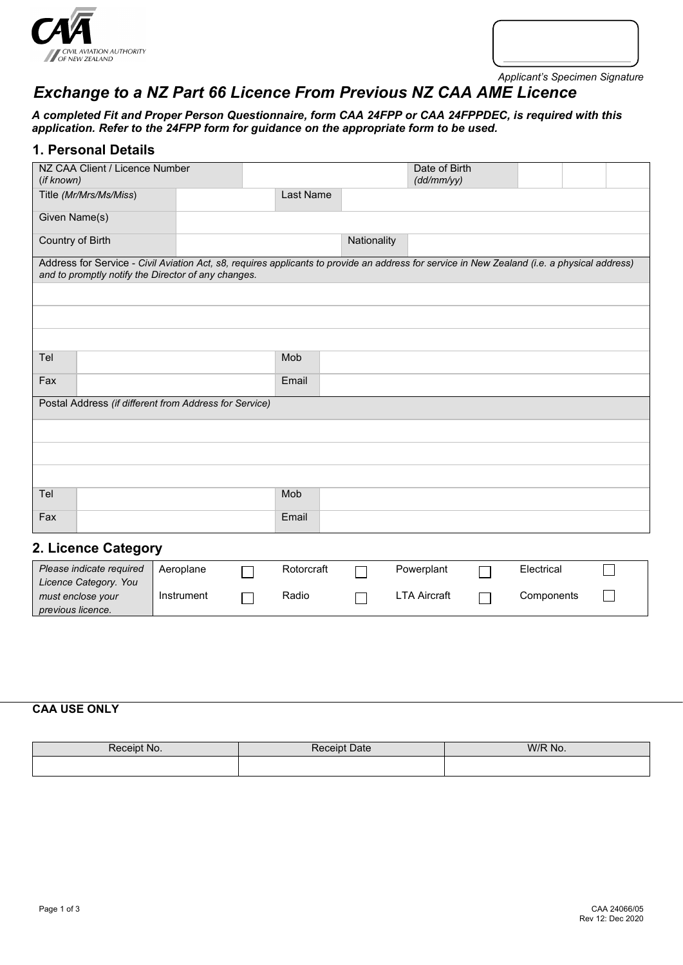



*Applicant's Specimen Signature*

# *Exchange to a NZ Part 66 Licence From Previous NZ CAA AME Licence*

*A completed Fit and Proper Person Questionnaire, form CAA 24FPP or CAA 24FPPDEC, is required with this application. Refer to the 24FPP form for guidance on the appropriate form to be used.*

#### **1. Personal Details**

| NZ CAA Client / Licence Number<br>(if known)                                                                                                                                                        |           |             | Date of Birth<br>(dd/mm/yy) |  |  |
|-----------------------------------------------------------------------------------------------------------------------------------------------------------------------------------------------------|-----------|-------------|-----------------------------|--|--|
| Title (Mr/Mrs/Ms/Miss)                                                                                                                                                                              | Last Name |             |                             |  |  |
| Given Name(s)                                                                                                                                                                                       |           |             |                             |  |  |
| Country of Birth                                                                                                                                                                                    |           | Nationality |                             |  |  |
| Address for Service - Civil Aviation Act, s8, requires applicants to provide an address for service in New Zealand (i.e. a physical address)<br>and to promptly notify the Director of any changes. |           |             |                             |  |  |
|                                                                                                                                                                                                     |           |             |                             |  |  |
|                                                                                                                                                                                                     |           |             |                             |  |  |
|                                                                                                                                                                                                     |           |             |                             |  |  |
| Tel                                                                                                                                                                                                 | Mob       |             |                             |  |  |
| Fax                                                                                                                                                                                                 | Email     |             |                             |  |  |
| Postal Address (if different from Address for Service)                                                                                                                                              |           |             |                             |  |  |
|                                                                                                                                                                                                     |           |             |                             |  |  |
|                                                                                                                                                                                                     |           |             |                             |  |  |
|                                                                                                                                                                                                     |           |             |                             |  |  |
| Tel                                                                                                                                                                                                 | Mob       |             |                             |  |  |
| Fax                                                                                                                                                                                                 | Email     |             |                             |  |  |
| 2. Licence Category                                                                                                                                                                                 |           |             |                             |  |  |

| Please indicate required                   | Aeroplane  | Rotorcraft | Powerplant          | Electrical |  |
|--------------------------------------------|------------|------------|---------------------|------------|--|
| Licence Category. You<br>must enclose your | Instrument | Radio      | <b>LTA Aircraft</b> | Components |  |
| previous licence.                          |            |            |                     |            |  |

#### **CAA USE ONLY**

| Receipt No. | <b>Receipt Date</b> | W/R N<br>' No. |
|-------------|---------------------|----------------|
|             |                     |                |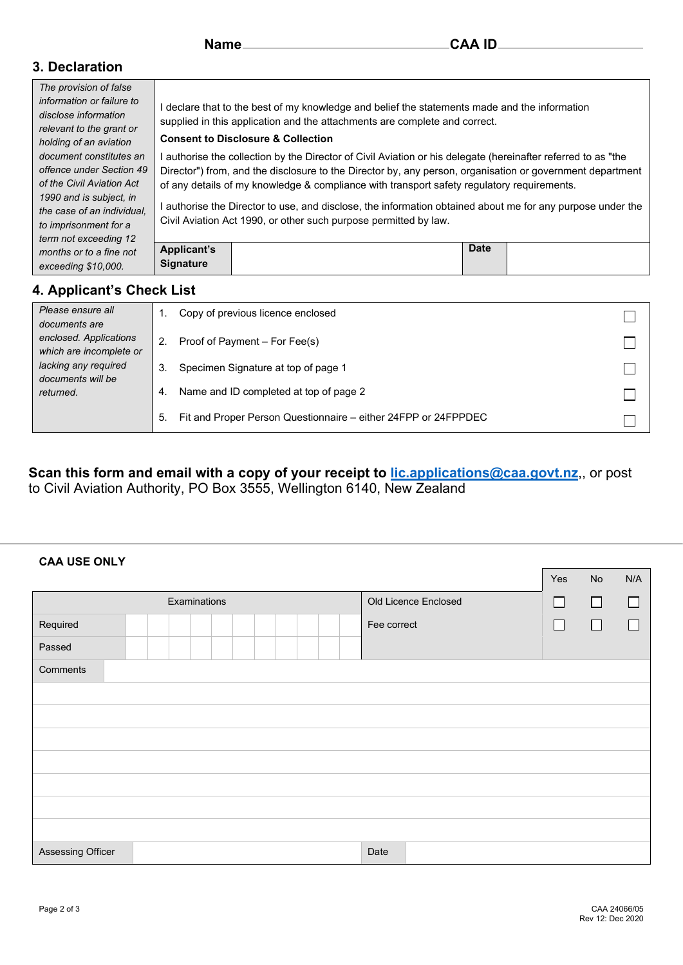|  | Name |  |
|--|------|--|
|--|------|--|

#### **3. Declaration**

| The provision of false                            |                                                                                                            |                                                                                                               |             |  |  |  |  |
|---------------------------------------------------|------------------------------------------------------------------------------------------------------------|---------------------------------------------------------------------------------------------------------------|-------------|--|--|--|--|
| information or failure to<br>disclose information |                                                                                                            | I declare that to the best of my knowledge and belief the statements made and the information                 |             |  |  |  |  |
| relevant to the grant or                          |                                                                                                            | supplied in this application and the attachments are complete and correct.                                    |             |  |  |  |  |
| holding of an aviation                            | <b>Consent to Disclosure &amp; Collection</b>                                                              |                                                                                                               |             |  |  |  |  |
| document constitutes an                           |                                                                                                            | l authorise the collection by the Director of Civil Aviation or his delegate (hereinafter referred to as "the |             |  |  |  |  |
| offence under Section 49                          | Director") from, and the disclosure to the Director by, any person, organisation or government department  |                                                                                                               |             |  |  |  |  |
| of the Civil Aviation Act                         | of any details of my knowledge & compliance with transport safety regulatory requirements.                 |                                                                                                               |             |  |  |  |  |
| 1990 and is subject, in                           |                                                                                                            |                                                                                                               |             |  |  |  |  |
| the case of an individual.                        | l authorise the Director to use, and disclose, the information obtained about me for any purpose under the |                                                                                                               |             |  |  |  |  |
| to imprisonment for a                             |                                                                                                            | Civil Aviation Act 1990, or other such purpose permitted by law.                                              |             |  |  |  |  |
| term not exceeding 12                             |                                                                                                            |                                                                                                               |             |  |  |  |  |
| months or to a fine not                           | <b>Applicant's</b>                                                                                         |                                                                                                               | <b>Date</b> |  |  |  |  |
| exceeding \$10,000.                               | <b>Signature</b>                                                                                           |                                                                                                               |             |  |  |  |  |

## **4. Applicant's Check List**

**CAA USE ONLY**

| Please ensure all<br>documents are                     | Copy of previous licence enclosed                                    |  |
|--------------------------------------------------------|----------------------------------------------------------------------|--|
| enclosed. Applications<br>which are incomplete or      | Proof of Payment – For Fee(s)                                        |  |
| lacking any required<br>documents will be<br>returned. | Specimen Signature at top of page 1<br>3.                            |  |
|                                                        | Name and ID completed at top of page 2<br>4.                         |  |
|                                                        | Fit and Proper Person Questionnaire – either 24FPP or 24FPPDEC<br>5. |  |

**Scan this form and email with a copy of your receipt to [lic.applications@caa.govt.nz](mailto:lic.applications@caa.govt.nz)**,, or post to Civil Aviation Authority, PO Box 3555, Wellington 6140, New Zealand

| - - - - - -       |                      |        |        |        |
|-------------------|----------------------|--------|--------|--------|
|                   |                      | Yes    | No     | N/A    |
| Examinations      | Old Licence Enclosed | □      | П      | $\Box$ |
| Required          | Fee correct          | $\Box$ | $\Box$ | П      |
| Passed            |                      |        |        |        |
| Comments          |                      |        |        |        |
|                   |                      |        |        |        |
|                   |                      |        |        |        |
|                   |                      |        |        |        |
|                   |                      |        |        |        |
|                   |                      |        |        |        |
|                   |                      |        |        |        |
|                   |                      |        |        |        |
| Assessing Officer | Date                 |        |        |        |